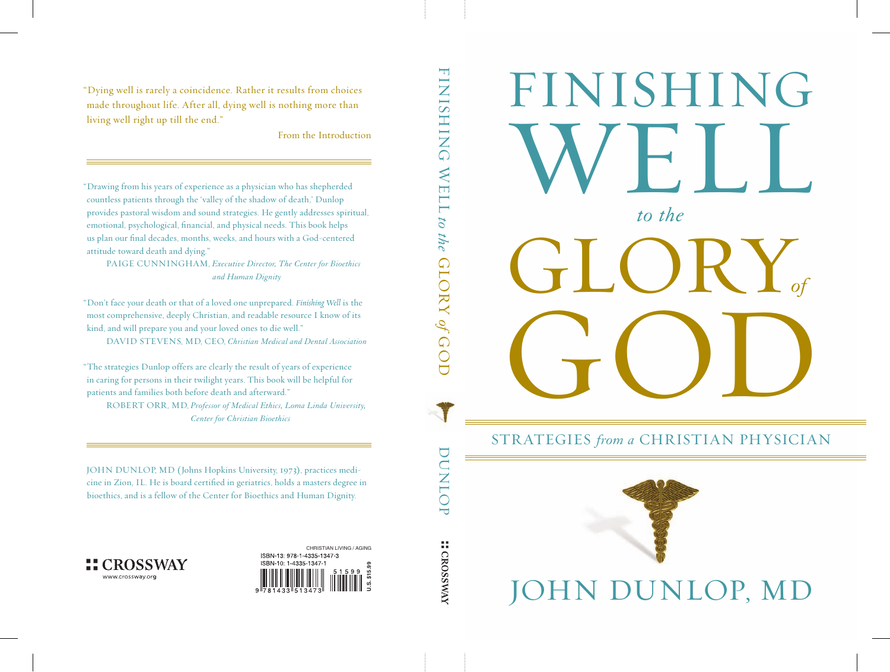# FINISHING WELL *to the*  GLORY. GOD *of*

STR ATEGIES *from a* CHRISTIAN PHYSICIAN



# JOHN DUNLOP, MD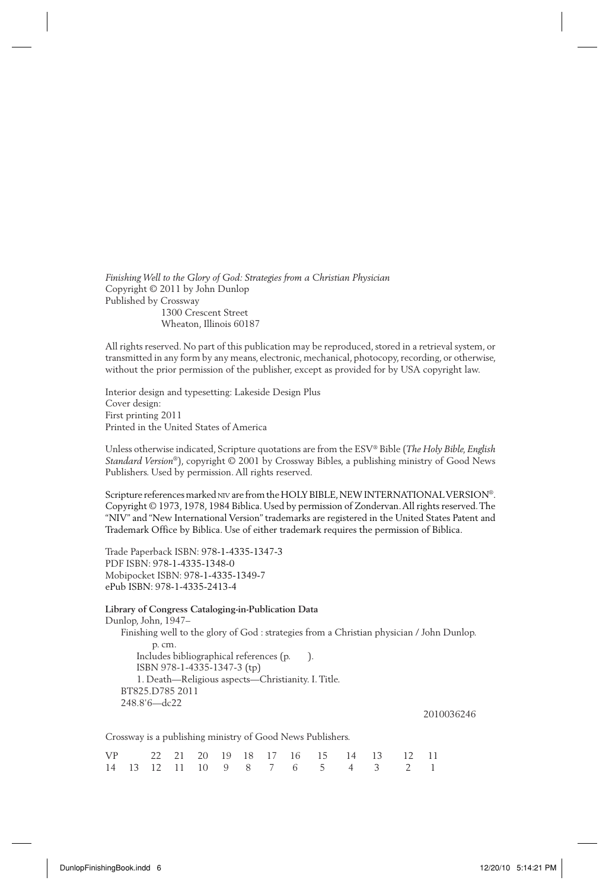*Finishing Well to the Glory of God: Strategies from a Christian Physician* Copyright © 2011 by John Dunlop Published by Crossway 1300 Crescent Street Wheaton, Illinois 60187

All rights reserved. No part of this publication may be reproduced, stored in a retrieval system, or transmitted in any form by any means, electronic, mechanical, photocopy, recording, or otherwise, without the prior permission of the publisher, except as provided for by USA copyright law.

Interior design and typesetting: Lakeside Design Plus Cover design: First printing 2011 Printed in the United States of America

Unless otherwise indicated, Scripture quotations are from the ESV® Bible (*The Holy Bible, English Standard Version*®), copyright © 2001 by Crossway Bibles, a publishing ministry of Good News Publishers. Used by permission. All rights reserved.

Scripture references marked NIV are from the HOLY BIBLE, NEW INTERNATIONAL VERSION®. Copyright © 1973, 1978, 1984 Biblica. Used by permission of Zondervan. All rights reserved. The "NIV" and "New International Version" trademarks are registered in the United States Patent and Trademark Office by Biblica. Use of either trademark requires the permission of Biblica.

Trade Paperback ISBN: 978-1-4335-1347-3 PDF ISBN: 978-1-4335-1348-0 Mobipocket ISBN: 978-1-4335-1349-7 ePub ISBN: 978-1-4335-2413-4

#### **Library of Congress Cataloging-in-Publication Data**

Dunlop, John, 1947– Finishing well to the glory of God : strategies from a Christian physician / John Dunlop. p. cm. Includes bibliographical references (p. ). ISBN 978-1-4335-1347-3 (tp) 1. Death—Religious aspects—Christianity. I. Title. BT825.D785 2011 248.8'6—dc22

2010036246

Crossway is a publishing ministry of Good News Publishers.

|  |  |  |  |  |  | VP 22 21 20 19 18 17 16 15 14 13 12 11                     |  |
|--|--|--|--|--|--|------------------------------------------------------------|--|
|  |  |  |  |  |  | 14   13   12   11   10   9   8   7   6   5   4   3   2   1 |  |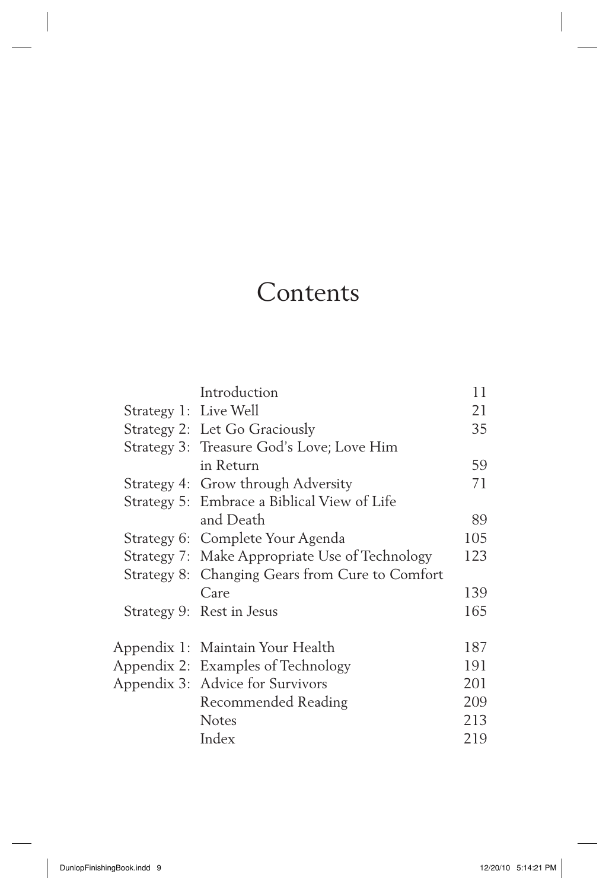## **Contents**

|                       | Introduction                                    | 11  |
|-----------------------|-------------------------------------------------|-----|
| Strategy 1: Live Well |                                                 | 21  |
|                       | Strategy 2: Let Go Graciously                   | 35  |
|                       | Strategy 3: Treasure God's Love; Love Him       |     |
|                       | in Return                                       | 59  |
|                       | Strategy 4: Grow through Adversity              | 71  |
|                       | Strategy 5: Embrace a Biblical View of Life     |     |
|                       | and Death                                       | 89  |
|                       | Strategy 6: Complete Your Agenda                | 105 |
|                       | Strategy 7: Make Appropriate Use of Technology  | 123 |
|                       | Strategy 8: Changing Gears from Cure to Comfort |     |
|                       | Care                                            | 139 |
|                       | Strategy 9: Rest in Jesus                       | 165 |
|                       |                                                 |     |
|                       | Appendix 1: Maintain Your Health                | 187 |
|                       | Appendix 2: Examples of Technology              | 191 |
|                       | Appendix 3: Advice for Survivors                | 201 |
|                       | Recommended Reading                             | 209 |
|                       | <b>Notes</b>                                    | 213 |
|                       | Index                                           | 219 |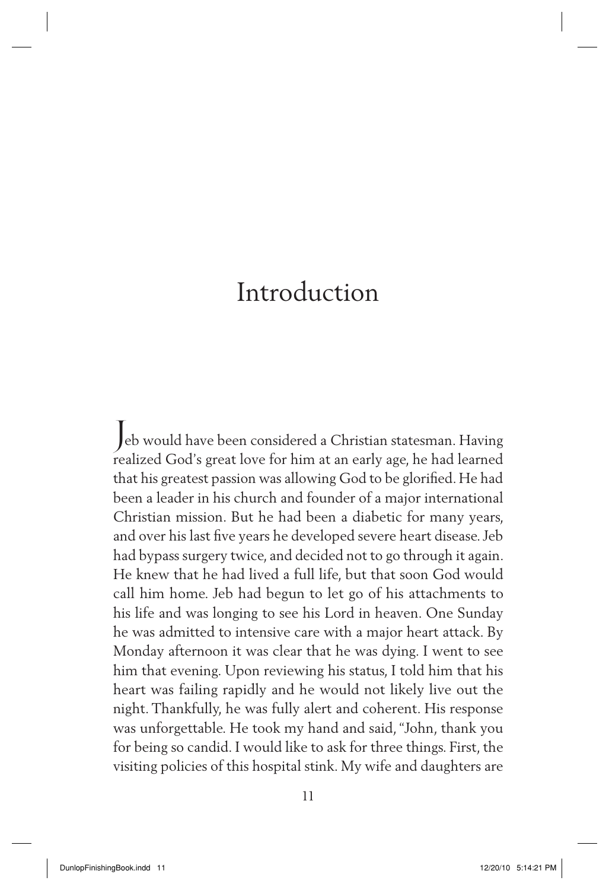### Introduction

Jeb would have been considered a Christian statesman. Having realized God's great love for him at an early age, he had learned that his greatest passion was allowing God to be glorified. He had been a leader in his church and founder of a major international Christian mission. But he had been a diabetic for many years, and over his last five years he developed severe heart disease. Jeb had bypass surgery twice, and decided not to go through it again. He knew that he had lived a full life, but that soon God would call him home. Jeb had begun to let go of his attachments to his life and was longing to see his Lord in heaven. One Sunday he was admitted to intensive care with a major heart attack. By Monday afternoon it was clear that he was dying. I went to see him that evening. Upon reviewing his status, I told him that his heart was failing rapidly and he would not likely live out the night. Thankfully, he was fully alert and coherent. His response was unforgettable. He took my hand and said, "John, thank you for being so candid. I would like to ask for three things. First, the visiting policies of this hospital stink. My wife and daughters are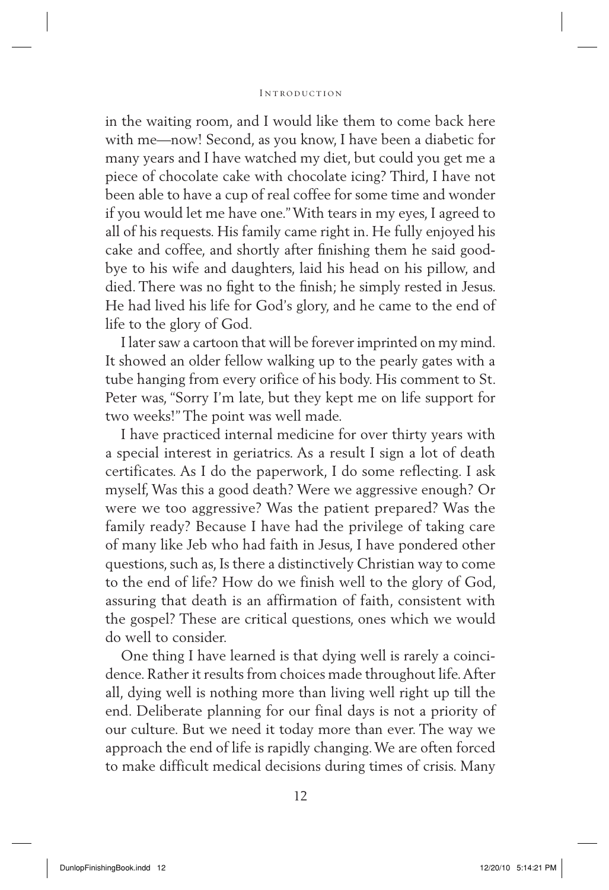in the waiting room, and I would like them to come back here with me—now! Second, as you know, I have been a diabetic for many years and I have watched my diet, but could you get me a piece of chocolate cake with chocolate icing? Third, I have not been able to have a cup of real coffee for some time and wonder if you would let me have one." With tears in my eyes, I agreed to all of his requests. His family came right in. He fully enjoyed his cake and coffee, and shortly after finishing them he said goodbye to his wife and daughters, laid his head on his pillow, and died. There was no fight to the finish; he simply rested in Jesus. He had lived his life for God's glory, and he came to the end of life to the glory of God.

I later saw a cartoon that will be forever imprinted on my mind. It showed an older fellow walking up to the pearly gates with a tube hanging from every orifice of his body. His comment to St. Peter was, "Sorry I'm late, but they kept me on life support for two weeks!" The point was well made.

I have practiced internal medicine for over thirty years with a special interest in geriatrics. As a result I sign a lot of death certificates. As I do the paperwork, I do some reflecting. I ask myself, Was this a good death? Were we aggressive enough? Or were we too aggressive? Was the patient prepared? Was the family ready? Because I have had the privilege of taking care of many like Jeb who had faith in Jesus, I have pondered other questions, such as, Is there a distinctively Christian way to come to the end of life? How do we finish well to the glory of God, assuring that death is an affirmation of faith, consistent with the gospel? These are critical questions, ones which we would do well to consider.

One thing I have learned is that dying well is rarely a coincidence. Rather it results from choices made throughout life. After all, dying well is nothing more than living well right up till the end. Deliberate planning for our final days is not a priority of our culture. But we need it today more than ever. The way we approach the end of life is rapidly changing. We are often forced to make difficult medical decisions during times of crisis. Many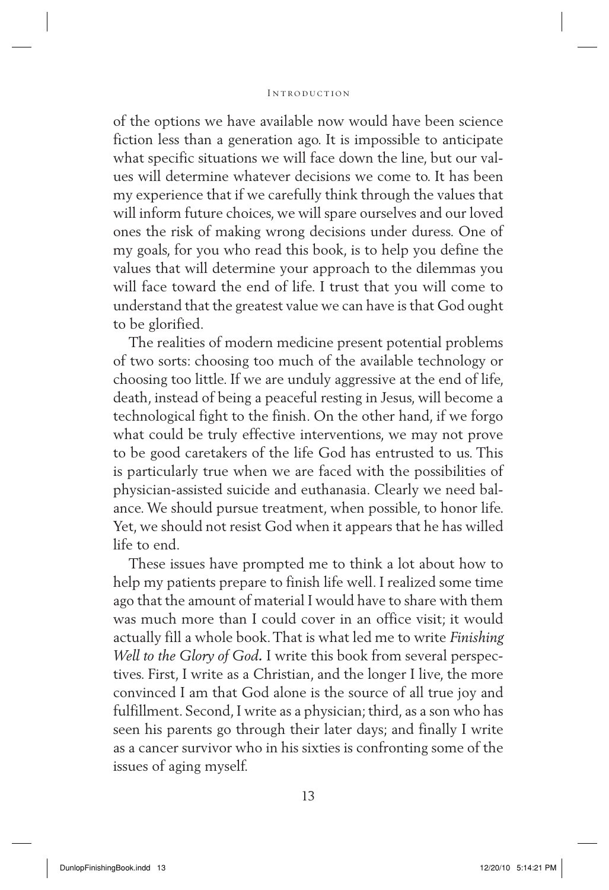of the options we have available now would have been science fiction less than a generation ago. It is impossible to anticipate what specific situations we will face down the line, but our values will determine whatever decisions we come to. It has been my experience that if we carefully think through the values that will inform future choices, we will spare ourselves and our loved ones the risk of making wrong decisions under duress. One of my goals, for you who read this book, is to help you define the values that will determine your approach to the dilemmas you will face toward the end of life. I trust that you will come to understand that the greatest value we can have is that God ought to be glorified.

The realities of modern medicine present potential problems of two sorts: choosing too much of the available technology or choosing too little. If we are unduly aggressive at the end of life, death, instead of being a peaceful resting in Jesus, will become a technological fight to the finish. On the other hand, if we forgo what could be truly effective interventions, we may not prove to be good caretakers of the life God has entrusted to us. This is particularly true when we are faced with the possibilities of physician-assisted suicide and euthanasia. Clearly we need balance. We should pursue treatment, when possible, to honor life. Yet, we should not resist God when it appears that he has willed life to end.

These issues have prompted me to think a lot about how to help my patients prepare to finish life well. I realized some time ago that the amount of material I would have to share with them was much more than I could cover in an office visit; it would actually fill a whole book. That is what led me to write *Finishing Well to the Glory of God.* I write this book from several perspectives. First, I write as a Christian, and the longer I live, the more convinced I am that God alone is the source of all true joy and fulfillment. Second, I write as a physician; third, as a son who has seen his parents go through their later days; and finally I write as a cancer survivor who in his sixties is confronting some of the issues of aging myself.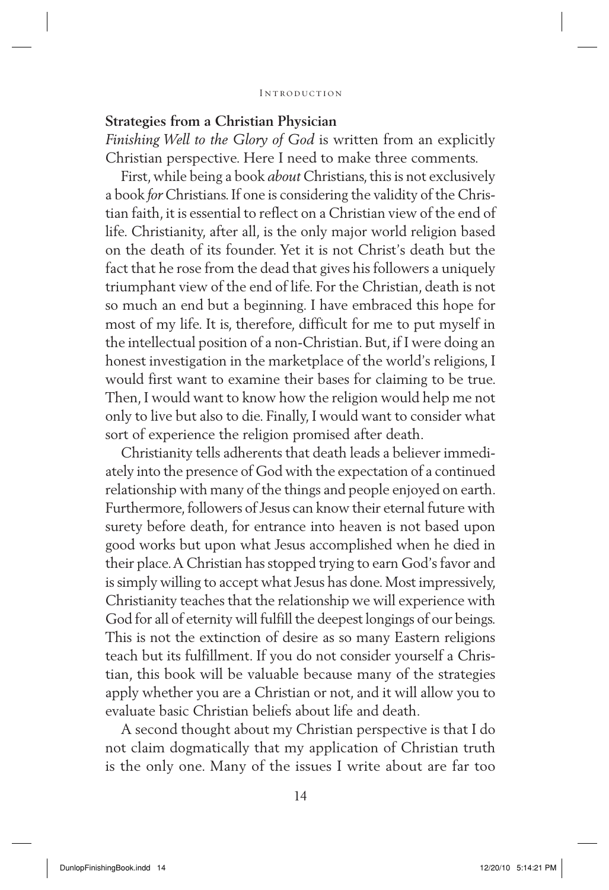#### **Strategies from a Christian Physician**

*Finishing Well to the Glory of God* is written from an explicitly Christian perspective. Here I need to make three comments.

First, while being a book *about* Christians, this is not exclusively a book *for* Christians. If one is considering the validity of the Christian faith, it is essential to reflect on a Christian view of the end of life. Christianity, after all, is the only major world religion based on the death of its founder. Yet it is not Christ's death but the fact that he rose from the dead that gives his followers a uniquely triumphant view of the end of life. For the Christian, death is not so much an end but a beginning. I have embraced this hope for most of my life. It is, therefore, difficult for me to put myself in the intellectual position of a non-Christian. But, if I were doing an honest investigation in the marketplace of the world's religions, I would first want to examine their bases for claiming to be true. Then, I would want to know how the religion would help me not only to live but also to die. Finally, I would want to consider what sort of experience the religion promised after death.

Christianity tells adherents that death leads a believer immediately into the presence of God with the expectation of a continued relationship with many of the things and people enjoyed on earth. Furthermore, followers of Jesus can know their eternal future with surety before death, for entrance into heaven is not based upon good works but upon what Jesus accomplished when he died in their place. A Christian has stopped trying to earn God's favor and is simply willing to accept what Jesus has done. Most impressively, Christianity teaches that the relationship we will experience with God for all of eternity will fulfill the deepest longings of our beings. This is not the extinction of desire as so many Eastern religions teach but its fulfillment. If you do not consider yourself a Christian, this book will be valuable because many of the strategies apply whether you are a Christian or not, and it will allow you to evaluate basic Christian beliefs about life and death.

A second thought about my Christian perspective is that I do not claim dogmatically that my application of Christian truth is the only one. Many of the issues I write about are far too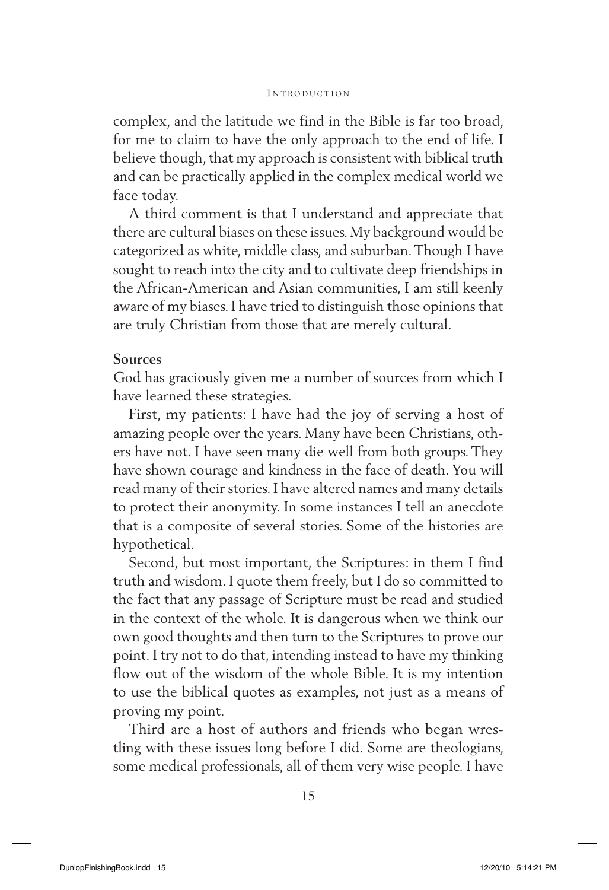#### Introduction

complex, and the latitude we find in the Bible is far too broad, for me to claim to have the only approach to the end of life. I believe though, that my approach is consistent with biblical truth and can be practically applied in the complex medical world we face today.

A third comment is that I understand and appreciate that there are cultural biases on these issues. My background would be categorized as white, middle class, and suburban. Though I have sought to reach into the city and to cultivate deep friendships in the African-American and Asian communities, I am still keenly aware of my biases. I have tried to distinguish those opinions that are truly Christian from those that are merely cultural.

#### **Sources**

God has graciously given me a number of sources from which I have learned these strategies.

First, my patients: I have had the joy of serving a host of amazing people over the years. Many have been Christians, others have not. I have seen many die well from both groups. They have shown courage and kindness in the face of death. You will read many of their stories. I have altered names and many details to protect their anonymity. In some instances I tell an anecdote that is a composite of several stories. Some of the histories are hypothetical.

Second, but most important, the Scriptures: in them I find truth and wisdom. I quote them freely, but I do so committed to the fact that any passage of Scripture must be read and studied in the context of the whole. It is dangerous when we think our own good thoughts and then turn to the Scriptures to prove our point. I try not to do that, intending instead to have my thinking flow out of the wisdom of the whole Bible. It is my intention to use the biblical quotes as examples, not just as a means of proving my point.

Third are a host of authors and friends who began wrestling with these issues long before I did. Some are theologians, some medical professionals, all of them very wise people. I have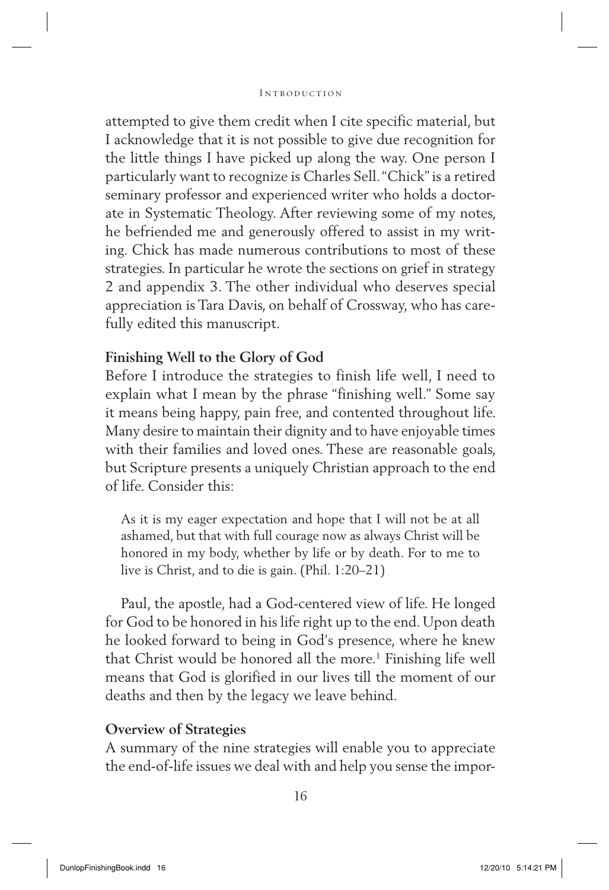attempted to give them credit when I cite specific material, but I acknowledge that it is not possible to give due recognition for the little things I have picked up along the way. One person I particularly want to recognize is Charles Sell. "Chick" is a retired seminary professor and experienced writer who holds a doctorate in Systematic Theology. After reviewing some of my notes, he befriended me and generously offered to assist in my writing. Chick has made numerous contributions to most of these strategies. In particular he wrote the sections on grief in strategy 2 and appendix 3. The other individual who deserves special appreciation is Tara Davis, on behalf of Crossway, who has carefully edited this manuscript.

#### **Finishing Well to the Glory of God**

Before I introduce the strategies to finish life well, I need to explain what I mean by the phrase "finishing well." Some say it means being happy, pain free, and contented throughout life. Many desire to maintain their dignity and to have enjoyable times with their families and loved ones. These are reasonable goals, but Scripture presents a uniquely Christian approach to the end of life. Consider this:

As it is my eager expectation and hope that I will not be at all ashamed, but that with full courage now as always Christ will be honored in my body, whether by life or by death. For to me to live is Christ, and to die is gain. (Phil. 1:20–21)

Paul, the apostle, had a God-centered view of life. He longed for God to be honored in his life right up to the end. Upon death he looked forward to being in God's presence, where he knew that Christ would be honored all the more.<sup>1</sup> Finishing life well means that God is glorified in our lives till the moment of our deaths and then by the legacy we leave behind.

#### **Overview of Strategies**

A summary of the nine strategies will enable you to appreciate the end-of-life issues we deal with and help you sense the impor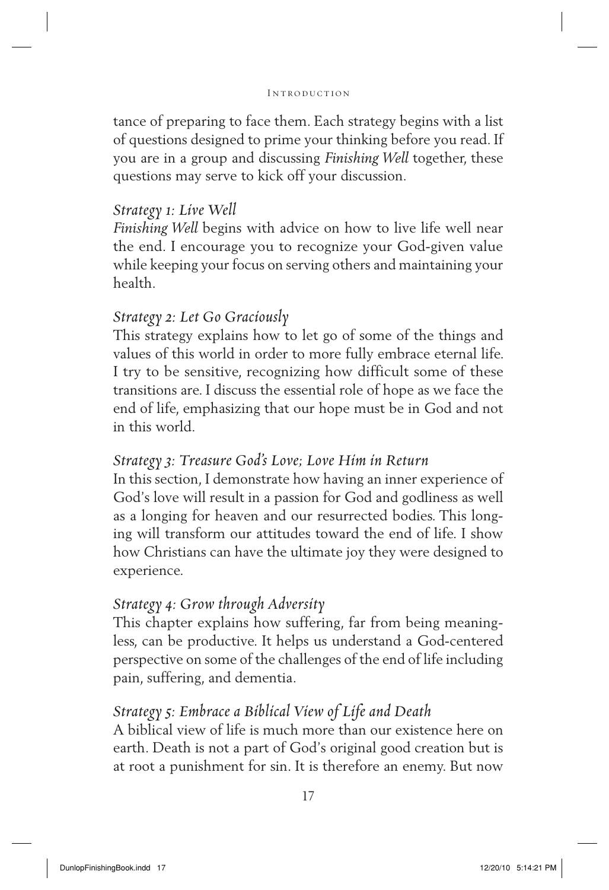tance of preparing to face them. Each strategy begins with a list of questions designed to prime your thinking before you read. If you are in a group and discussing *Finishing Well* together, these questions may serve to kick off your discussion.

#### *Strategy 1: Live Well*

*Finishing Well* begins with advice on how to live life well near the end. I encourage you to recognize your God-given value while keeping your focus on serving others and maintaining your health.

#### *Strategy 2: Let Go Graciously*

This strategy explains how to let go of some of the things and values of this world in order to more fully embrace eternal life. I try to be sensitive, recognizing how difficult some of these transitions are. I discuss the essential role of hope as we face the end of life, emphasizing that our hope must be in God and not in this world.

#### *Strategy 3: Treasure God's Love; Love Him in Return*

In this section, I demonstrate how having an inner experience of God's love will result in a passion for God and godliness as well as a longing for heaven and our resurrected bodies. This longing will transform our attitudes toward the end of life. I show how Christians can have the ultimate joy they were designed to experience.

#### *Strategy 4: Grow through Adversity*

This chapter explains how suffering, far from being meaningless, can be productive. It helps us understand a God-centered perspective on some of the challenges of the end of life including pain, suffering, and dementia.

#### *Strategy 5: Embrace a Biblical View of Life and Death*

A biblical view of life is much more than our existence here on earth. Death is not a part of God's original good creation but is at root a punishment for sin. It is therefore an enemy. But now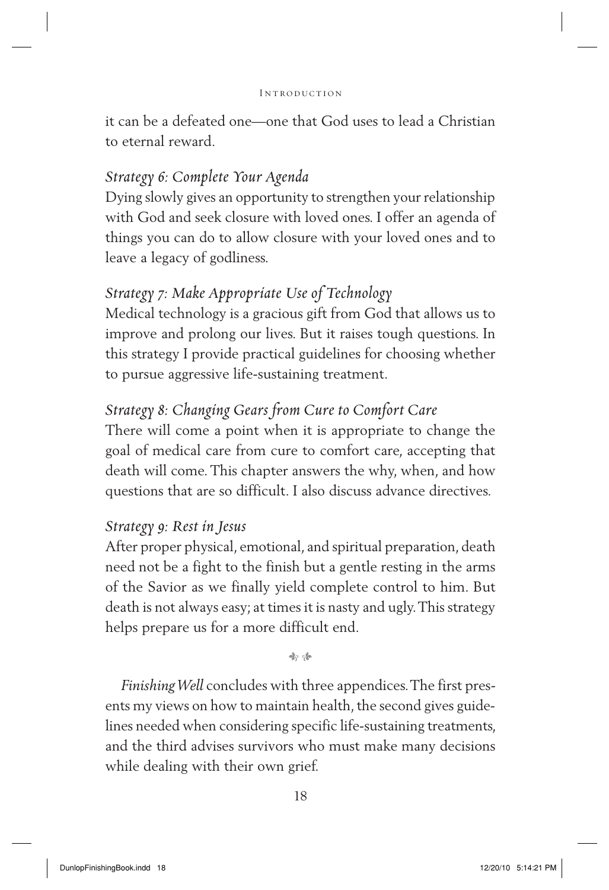it can be a defeated one—one that God uses to lead a Christian to eternal reward.

#### *Strategy 6: Complete Your Agenda*

Dying slowly gives an opportunity to strengthen your relationship with God and seek closure with loved ones. I offer an agenda of things you can do to allow closure with your loved ones and to leave a legacy of godliness.

#### *Strategy 7: Make Appropriate Use of Technology*

Medical technology is a gracious gift from God that allows us to improve and prolong our lives. But it raises tough questions. In this strategy I provide practical guidelines for choosing whether to pursue aggressive life-sustaining treatment.

#### *Strategy 8: Changing Gears from Cure to Comfort Care*

There will come a point when it is appropriate to change the goal of medical care from cure to comfort care, accepting that death will come. This chapter answers the why, when, and how questions that are so difficult. I also discuss advance directives.

#### *Strategy 9: Rest in Jesus*

After proper physical, emotional, and spiritual preparation, death need not be a fight to the finish but a gentle resting in the arms of the Savior as we finally yield complete control to him. But death is not always easy; at times it is nasty and ugly. This strategy helps prepare us for a more difficult end.

 $\mathcal{A}\circ\mathcal{A}$ 

*Finishing Well* concludes with three appendices. The first presents my views on how to maintain health, the second gives guidelines needed when considering specific life-sustaining treatments, and the third advises survivors who must make many decisions while dealing with their own grief.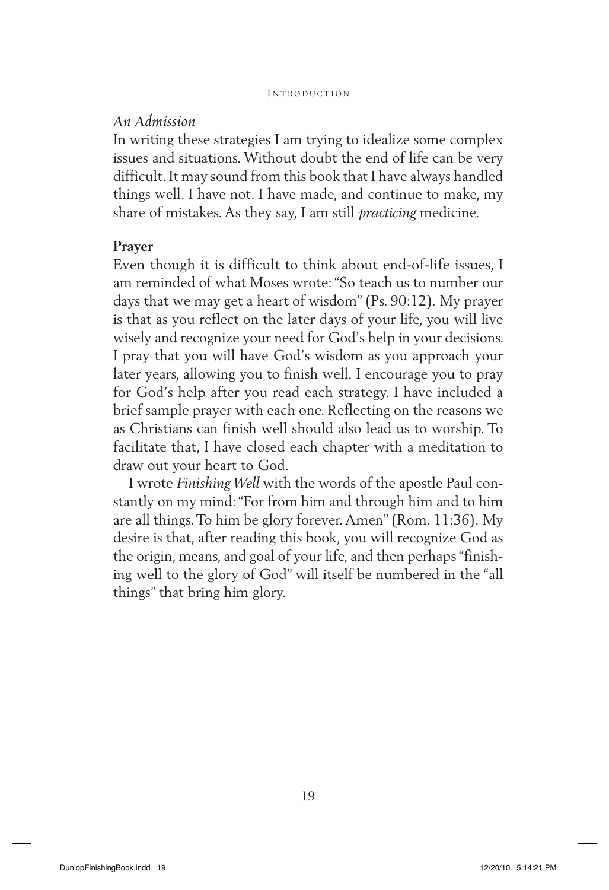#### *An Admission*

In writing these strategies I am trying to idealize some complex issues and situations. Without doubt the end of life can be very difficult. It may sound from this book that I have always handled things well. I have not. I have made, and continue to make, my share of mistakes. As they say, I am still *practicing* medicine.

#### **Prayer**

Even though it is difficult to think about end-of-life issues, I am reminded of what Moses wrote: "So teach us to number our days that we may get a heart of wisdom" (Ps. 90:12). My prayer is that as you reflect on the later days of your life, you will live wisely and recognize your need for God's help in your decisions. I pray that you will have God's wisdom as you approach your later years, allowing you to finish well*.* I encourage you to pray for God's help after you read each strategy. I have included a brief sample prayer with each one. Reflecting on the reasons we as Christians can finish well should also lead us to worship. To facilitate that, I have closed each chapter with a meditation to draw out your heart to God.

I wrote *Finishing Well* with the words of the apostle Paul constantly on my mind: "For from him and through him and to him are all things. To him be glory forever. Amen" (Rom. 11:36). My desire is that, after reading this book, you will recognize God as the origin, means, and goal of your life, and then perhaps "finishing well to the glory of God" will itself be numbered in the "all things" that bring him glory.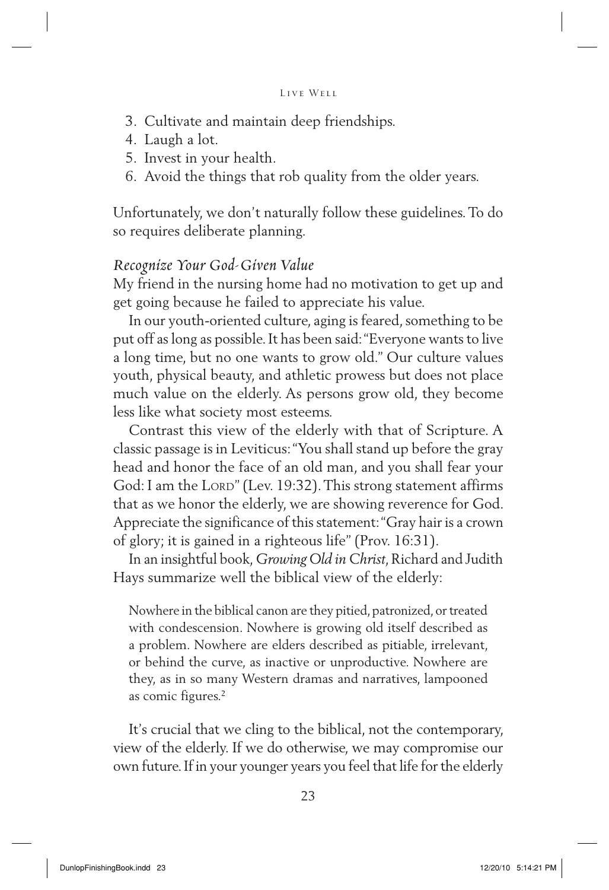- 3. Cultivate and maintain deep friendships.
- 4. Laugh a lot.
- 5. Invest in your health.
- 6. Avoid the things that rob quality from the older years.

Unfortunately, we don't naturally follow these guidelines. To do so requires deliberate planning.

#### *Recognize Your God-Given Value*

My friend in the nursing home had no motivation to get up and get going because he failed to appreciate his value.

In our youth-oriented culture, aging is feared, something to be put off as long as possible. It has been said: "Everyone wants to live a long time, but no one wants to grow old." Our culture values youth, physical beauty, and athletic prowess but does not place much value on the elderly. As persons grow old, they become less like what society most esteems.

Contrast this view of the elderly with that of Scripture. A classic passage is in Leviticus: "You shall stand up before the gray head and honor the face of an old man, and you shall fear your God: I am the LORD" (Lev. 19:32). This strong statement affirms that as we honor the elderly, we are showing reverence for God. Appreciate the significance of this statement: "Gray hair is a crown of glory; it is gained in a righteous life" (Prov. 16:31).

In an insightful book, *Growing Old in Christ*, Richard and Judith Hays summarize well the biblical view of the elderly:

Nowhere in the biblical canon are they pitied, patronized, or treated with condescension. Nowhere is growing old itself described as a problem. Nowhere are elders described as pitiable, irrelevant, or behind the curve, as inactive or unproductive. Nowhere are they, as in so many Western dramas and narratives, lampooned as comic figures.2

It's crucial that we cling to the biblical, not the contemporary, view of the elderly. If we do otherwise, we may compromise our own future. If in your younger years you feel that life for the elderly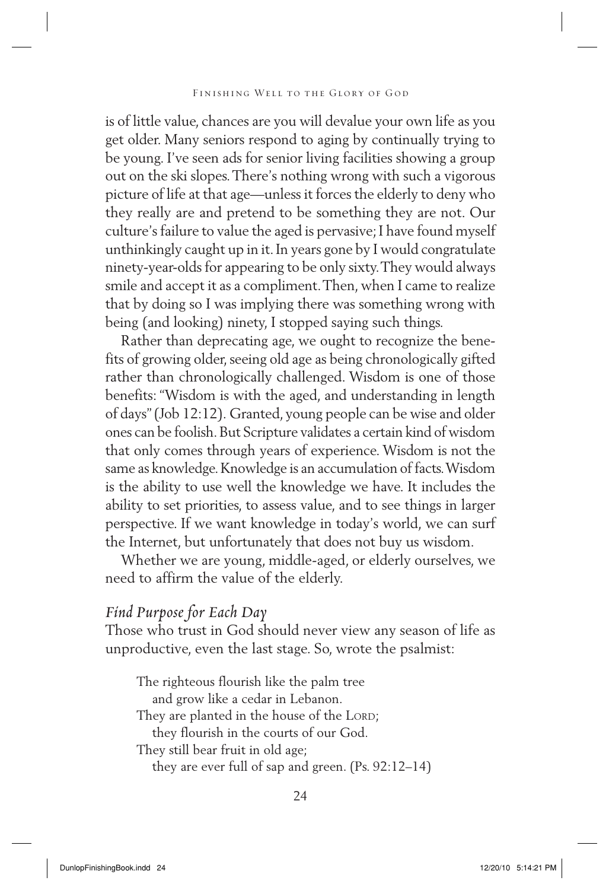is of little value, chances are you will devalue your own life as you get older. Many seniors respond to aging by continually trying to be young. I've seen ads for senior living facilities showing a group out on the ski slopes. There's nothing wrong with such a vigorous picture of life at that age—unless it forces the elderly to deny who they really are and pretend to be something they are not. Our culture's failure to value the aged is pervasive; I have found myself unthinkingly caught up in it. In years gone by I would congratulate ninety-year-olds for appearing to be only sixty. They would always smile and accept it as a compliment. Then, when I came to realize that by doing so I was implying there was something wrong with being (and looking) ninety, I stopped saying such things.

Rather than deprecating age, we ought to recognize the benefits of growing older, seeing old age as being chronologically gifted rather than chronologically challenged. Wisdom is one of those benefits: "Wisdom is with the aged, and understanding in length of days" (Job 12:12). Granted, young people can be wise and older ones can be foolish. But Scripture validates a certain kind of wisdom that only comes through years of experience. Wisdom is not the same as knowledge. Knowledge is an accumulation of facts. Wisdom is the ability to use well the knowledge we have. It includes the ability to set priorities, to assess value, and to see things in larger perspective. If we want knowledge in today's world, we can surf the Internet, but unfortunately that does not buy us wisdom.

Whether we are young, middle-aged, or elderly ourselves, we need to affirm the value of the elderly.

#### *Find Purpose for Each Day*

Those who trust in God should never view any season of life as unproductive, even the last stage. So, wrote the psalmist:

The righteous flourish like the palm tree and grow like a cedar in Lebanon. They are planted in the house of the LORD; they flourish in the courts of our God. They still bear fruit in old age; they are ever full of sap and green. (Ps. 92:12–14)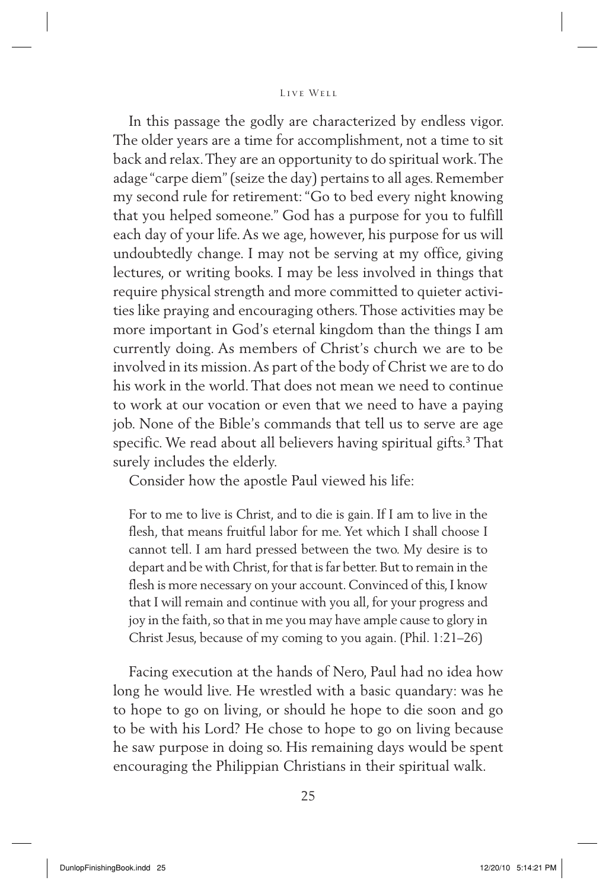In this passage the godly are characterized by endless vigor. The older years are a time for accomplishment, not a time to sit back and relax. They are an opportunity to do spiritual work. The adage "carpe diem" (seize the day) pertains to all ages. Remember my second rule for retirement: "Go to bed every night knowing that you helped someone." God has a purpose for you to fulfill each day of your life. As we age, however, his purpose for us will undoubtedly change. I may not be serving at my office, giving lectures, or writing books. I may be less involved in things that require physical strength and more committed to quieter activities like praying and encouraging others. Those activities may be more important in God's eternal kingdom than the things I am currently doing. As members of Christ's church we are to be involved in its mission. As part of the body of Christ we are to do his work in the world. That does not mean we need to continue to work at our vocation or even that we need to have a paying job. None of the Bible's commands that tell us to serve are age specific. We read about all believers having spiritual gifts.<sup>3</sup> That surely includes the elderly.

Consider how the apostle Paul viewed his life:

For to me to live is Christ, and to die is gain. If I am to live in the flesh, that means fruitful labor for me. Yet which I shall choose I cannot tell. I am hard pressed between the two. My desire is to depart and be with Christ, for that is far better. But to remain in the flesh is more necessary on your account. Convinced of this, I know that I will remain and continue with you all, for your progress and joy in the faith, so that in me you may have ample cause to glory in Christ Jesus, because of my coming to you again. (Phil. 1:21–26)

Facing execution at the hands of Nero, Paul had no idea how long he would live. He wrestled with a basic quandary: was he to hope to go on living, or should he hope to die soon and go to be with his Lord? He chose to hope to go on living because he saw purpose in doing so. His remaining days would be spent encouraging the Philippian Christians in their spiritual walk.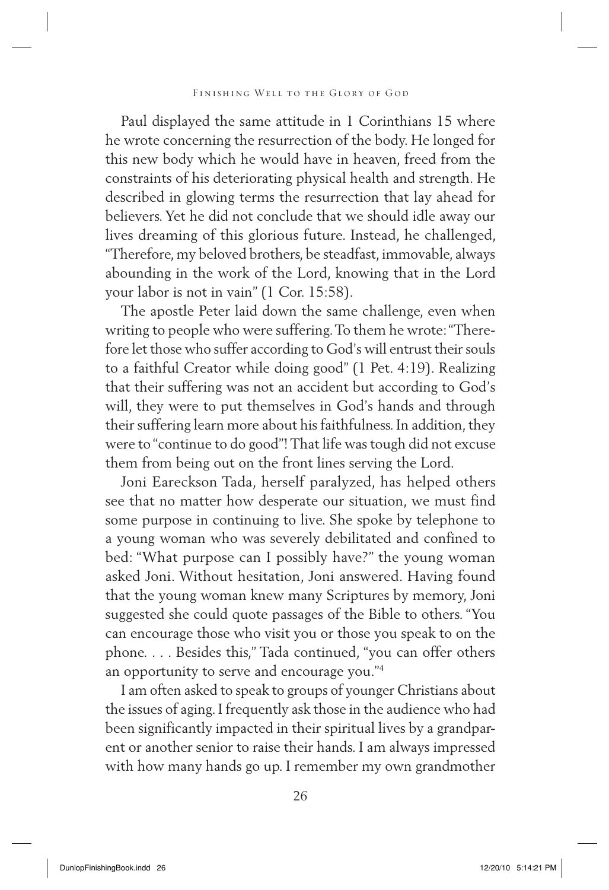Paul displayed the same attitude in 1 Corinthians 15 where he wrote concerning the resurrection of the body. He longed for this new body which he would have in heaven, freed from the constraints of his deteriorating physical health and strength. He described in glowing terms the resurrection that lay ahead for believers. Yet he did not conclude that we should idle away our lives dreaming of this glorious future. Instead, he challenged, "Therefore, my beloved brothers, be steadfast, immovable, always abounding in the work of the Lord, knowing that in the Lord your labor is not in vain" (1 Cor. 15:58).

The apostle Peter laid down the same challenge, even when writing to people who were suffering. To them he wrote: "Therefore let those who suffer according to God's will entrust their souls to a faithful Creator while doing good" (1 Pet. 4:19). Realizing that their suffering was not an accident but according to God's will, they were to put themselves in God's hands and through their suffering learn more about his faithfulness. In addition, they were to "continue to do good"! That life was tough did not excuse them from being out on the front lines serving the Lord.

Joni Eareckson Tada, herself paralyzed, has helped others see that no matter how desperate our situation, we must find some purpose in continuing to live. She spoke by telephone to a young woman who was severely debilitated and confined to bed: "What purpose can I possibly have?" the young woman asked Joni. Without hesitation, Joni answered. Having found that the young woman knew many Scriptures by memory, Joni suggested she could quote passages of the Bible to others. "You can encourage those who visit you or those you speak to on the phone. . . . Besides this," Tada continued, "you can offer others an opportunity to serve and encourage you."4

I am often asked to speak to groups of younger Christians about the issues of aging. I frequently ask those in the audience who had been significantly impacted in their spiritual lives by a grandparent or another senior to raise their hands. I am always impressed with how many hands go up. I remember my own grandmother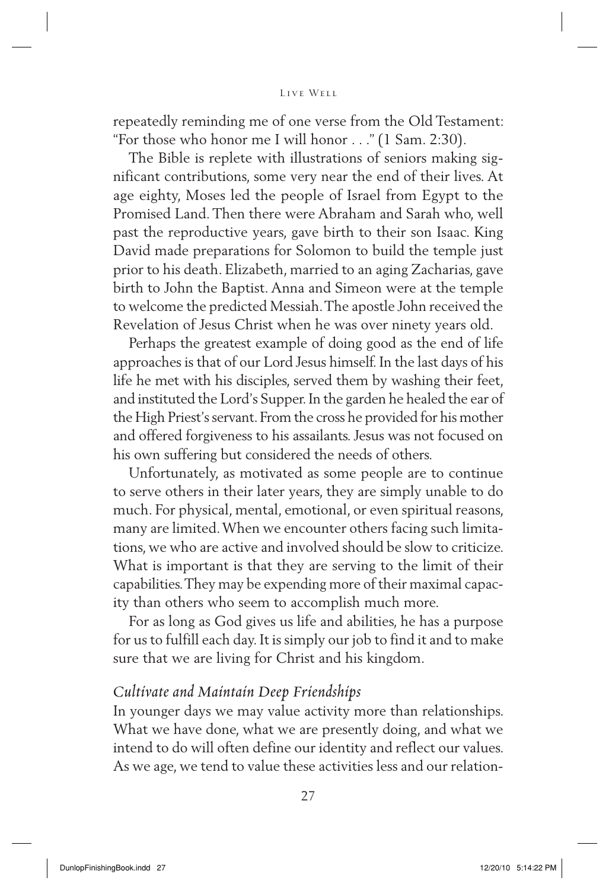repeatedly reminding me of one verse from the Old Testament: "For those who honor me I will honor . . ." (1 Sam. 2:30).

The Bible is replete with illustrations of seniors making significant contributions, some very near the end of their lives. At age eighty, Moses led the people of Israel from Egypt to the Promised Land. Then there were Abraham and Sarah who, well past the reproductive years, gave birth to their son Isaac. King David made preparations for Solomon to build the temple just prior to his death. Elizabeth, married to an aging Zacharias, gave birth to John the Baptist. Anna and Simeon were at the temple to welcome the predicted Messiah. The apostle John received the Revelation of Jesus Christ when he was over ninety years old.

Perhaps the greatest example of doing good as the end of life approaches is that of our Lord Jesus himself. In the last days of his life he met with his disciples, served them by washing their feet, and instituted the Lord's Supper. In the garden he healed the ear of the High Priest's servant. From the cross he provided for his mother and offered forgiveness to his assailants. Jesus was not focused on his own suffering but considered the needs of others.

Unfortunately, as motivated as some people are to continue to serve others in their later years, they are simply unable to do much. For physical, mental, emotional, or even spiritual reasons, many are limited. When we encounter others facing such limitations, we who are active and involved should be slow to criticize. What is important is that they are serving to the limit of their capabilities. They may be expending more of their maximal capacity than others who seem to accomplish much more.

For as long as God gives us life and abilities, he has a purpose for us to fulfill each day. It is simply our job to find it and to make sure that we are living for Christ and his kingdom.

#### *Cultivate and Maintain Deep Friendships*

In younger days we may value activity more than relationships. What we have done, what we are presently doing, and what we intend to do will often define our identity and reflect our values. As we age, we tend to value these activities less and our relation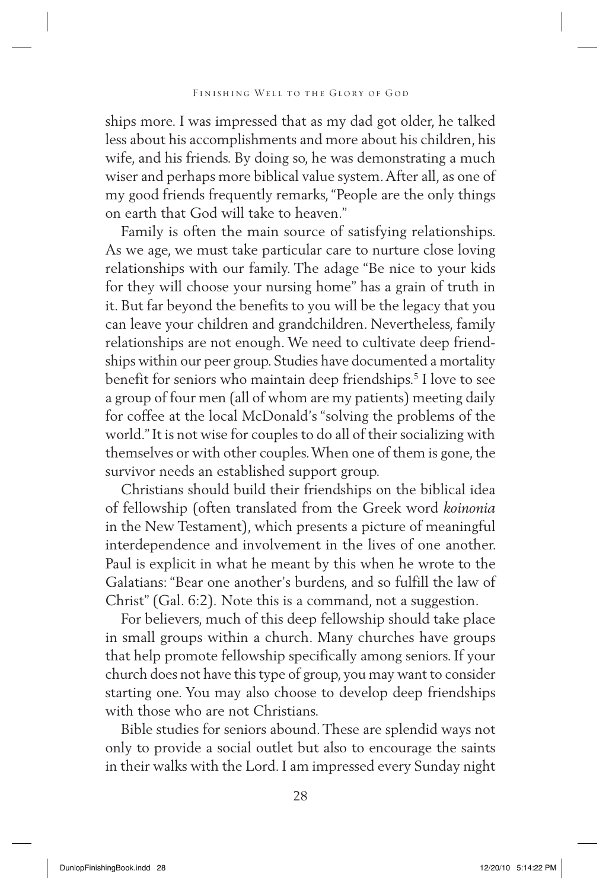ships more. I was impressed that as my dad got older, he talked less about his accomplishments and more about his children, his wife, and his friends. By doing so, he was demonstrating a much wiser and perhaps more biblical value system. After all, as one of my good friends frequently remarks, "People are the only things on earth that God will take to heaven."

Family is often the main source of satisfying relationships. As we age, we must take particular care to nurture close loving relationships with our family. The adage "Be nice to your kids for they will choose your nursing home" has a grain of truth in it. But far beyond the benefits to you will be the legacy that you can leave your children and grandchildren. Nevertheless, family relationships are not enough. We need to cultivate deep friendships within our peer group. Studies have documented a mortality benefit for seniors who maintain deep friendships.5 I love to see a group of four men (all of whom are my patients) meeting daily for coffee at the local McDonald's "solving the problems of the world." It is not wise for couples to do all of their socializing with themselves or with other couples. When one of them is gone, the survivor needs an established support group.

Christians should build their friendships on the biblical idea of fellowship (often translated from the Greek word *koinonia* in the New Testament), which presents a picture of meaningful interdependence and involvement in the lives of one another. Paul is explicit in what he meant by this when he wrote to the Galatians: "Bear one another's burdens, and so fulfill the law of Christ" (Gal. 6:2)*.* Note this is a command, not a suggestion.

For believers, much of this deep fellowship should take place in small groups within a church. Many churches have groups that help promote fellowship specifically among seniors. If your church does not have this type of group, you may want to consider starting one. You may also choose to develop deep friendships with those who are not Christians.

Bible studies for seniors abound. These are splendid ways not only to provide a social outlet but also to encourage the saints in their walks with the Lord. I am impressed every Sunday night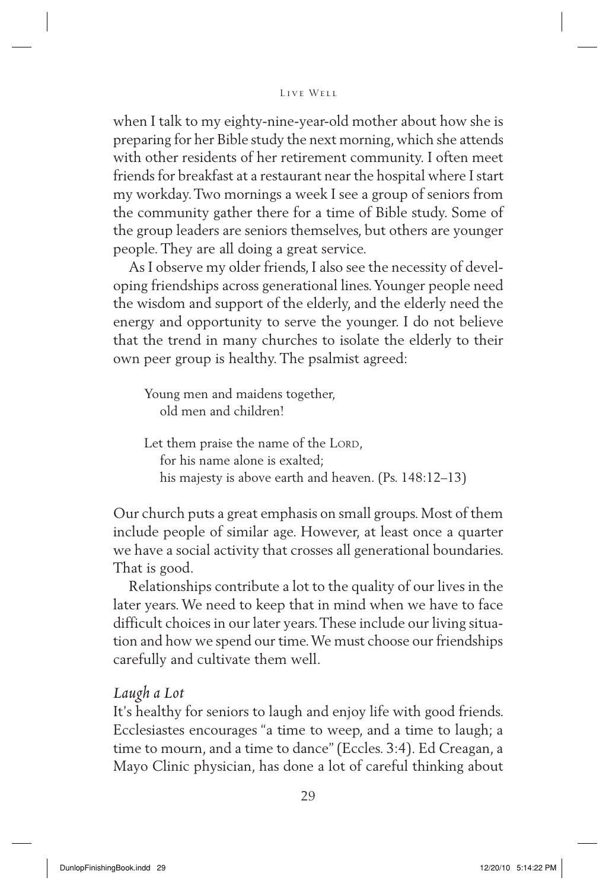when I talk to my eighty-nine-year-old mother about how she is preparing for her Bible study the next morning, which she attends with other residents of her retirement community. I often meet friends for breakfast at a restaurant near the hospital where I start my workday. Two mornings a week I see a group of seniors from the community gather there for a time of Bible study. Some of the group leaders are seniors themselves, but others are younger people. They are all doing a great service.

As I observe my older friends, I also see the necessity of developing friendships across generational lines. Younger people need the wisdom and support of the elderly, and the elderly need the energy and opportunity to serve the younger. I do not believe that the trend in many churches to isolate the elderly to their own peer group is healthy. The psalmist agreed:

Young men and maidens together, old men and children!

Let them praise the name of the LORD, for his name alone is exalted; his majesty is above earth and heaven. (Ps. 148:12–13)

Our church puts a great emphasis on small groups. Most of them include people of similar age. However, at least once a quarter we have a social activity that crosses all generational boundaries. That is good.

Relationships contribute a lot to the quality of our lives in the later years. We need to keep that in mind when we have to face difficult choices in our later years. These include our living situation and how we spend our time. We must choose our friendships carefully and cultivate them well.

#### *Laugh a Lot*

It's healthy for seniors to laugh and enjoy life with good friends. Ecclesiastes encourages "a time to weep, and a time to laugh; a time to mourn, and a time to dance" (Eccles. 3:4)*.* Ed Creagan, a Mayo Clinic physician, has done a lot of careful thinking about